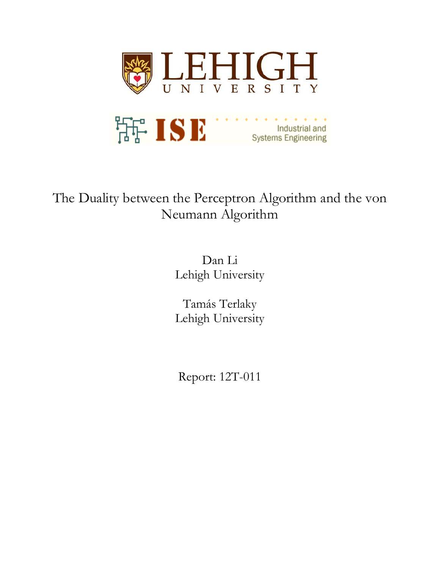

# The Duality between the Perceptron Algorithm and the von Neumann Algorithm

Dan Li Lehigh University

Tamás Terlaky Lehigh University

Report: 12T-011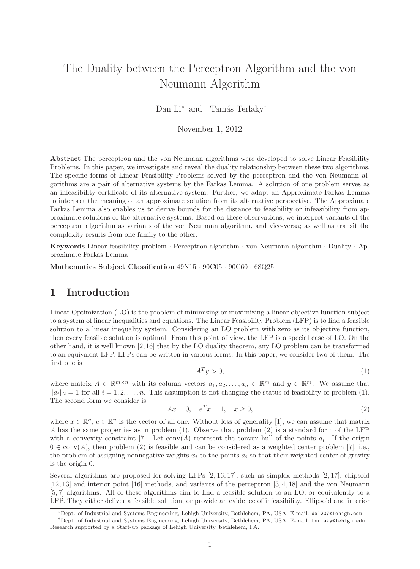# The Duality between the Perceptron Algorithm and the von Neumann Algorithm

Dan Li<sup>∗</sup> and Tamás Terlaky<sup>†</sup>

November 1, 2012

Abstract The perceptron and the von Neumann algorithms were developed to solve Linear Feasibility Problems. In this paper, we investigate and reveal the duality relationship between these two algorithms. The specific forms of Linear Feasibility Problems solved by the perceptron and the von Neumann algorithms are a pair of alternative systems by the Farkas Lemma. A solution of one problem serves as an infeasibility certificate of its alternative system. Further, we adapt an Approximate Farkas Lemma to interpret the meaning of an approximate solution from its alternative perspective. The Approximate Farkas Lemma also enables us to derive bounds for the distance to feasibility or infeasibility from approximate solutions of the alternative systems. Based on these observations, we interpret variants of the perceptron algorithm as variants of the von Neumann algorithm, and vice-versa; as well as transit the complexity results from one family to the other.

**Keywords** Linear feasibility problem  $\cdot$  Perceptron algorithm  $\cdot$  von Neumann algorithm  $\cdot$  Duality  $\cdot$  Approximate Farkas Lemma

Mathematics Subject Classification 49N15 · 90C05 · 90C60 · 68Q25

# 1 Introduction

Linear Optimization (LO) is the problem of minimizing or maximizing a linear objective function subject to a system of linear inequalities and equations. The Linear Feasibility Problem (LFP) is to find a feasible solution to a linear inequality system. Considering an LO problem with zero as its objective function, then every feasible solution is optimal. From this point of view, the LFP is a special case of LO. On the other hand, it is well known [2, 16] that by the LO duality theorem, any LO problem can be transformed to an equivalent LFP. LFPs can be written in various forms. In this paper, we consider two of them. The first one is

$$
A^T y > 0,\t\t(1)
$$

where matrix  $A \in \mathbb{R}^{m \times n}$  with its column vectors  $a_1, a_2, \ldots, a_n \in \mathbb{R}^m$  and  $y \in \mathbb{R}^m$ . We assume that  $\|a_i\|_2 = 1$  for all  $i = 1, 2, \ldots, n$ . This assumption is not changing the status of feasibility of problem (1). The second form we consider is

$$
Ax = 0, \quad e^T x = 1, \quad x \ge 0,
$$
\n(2)

where  $x \in \mathbb{R}^n$ ,  $e \in \mathbb{R}^n$  is the vector of all one. Without loss of generality [1], we can assume that matrix A has the same properties as in problem (1). Observe that problem (2) is a standard form of the LFP with a convexity constraint [7]. Let  $\text{conv}(A)$  represent the convex hull of the points  $a_i$ . If the origin  $0 \in \text{conv}(A)$ , then problem (2) is feasible and can be considered as a weighted center problem [7], i.e., the problem of assigning nonnegative weights  $x_i$  to the points  $a_i$  so that their weighted center of gravity is the origin 0.

Several algorithms are proposed for solving LFPs [2, 16, 17], such as simplex methods [2, 17], ellipsoid [12, 13] and interior point [16] methods, and variants of the perceptron [3, 4, 18] and the von Neumann [5, 7] algorithms. All of these algorithms aim to find a feasible solution to an LO, or equivalently to a LFP. They either deliver a feasible solution, or provide an evidence of infeasibility. Ellipsoid and interior

<sup>∗</sup>Dept. of Industrial and Systems Engineering, Lehigh University, Bethlehem, PA, USA. E-mail: dal207@lehigh.edu

<sup>†</sup>Dept. of Industrial and Systems Engineering, Lehigh University, Bethlehem, PA, USA. E-mail: terlaky@lehigh.edu Research supported by a Start-up package of Lehigh University, bethlehem, PA.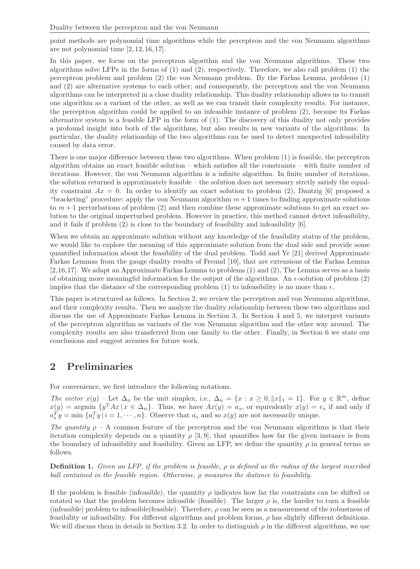point methods are polynomial time algorithms while the perceptron and the von Neumann algorithms are not polynomial time [2, 12, 16, 17].

In this paper, we focus on the perceptron algorithm and the von Neumann algorithms. These two algorithms solve LFPs in the forms of (1) and (2), respectively. Therefore, we also call problem (1) the perceptron problem and problem (2) the von Neumann problem. By the Farkas Lemma, problems (1) and (2) are alternative systems to each other; and consequently, the perceptron and the von Neumann algorithms can be interpreted in a close duality relationship. This duality relationship allows us to transit one algorithm as a variant of the other, as well as we can transit their complexity results. For instance, the perceptron algorithm could be applied to an infeasible instance of problem (2), because its Farkas alternative system is a feasible LFP in the form of (1). The discovery of this duality not only provides a profound insight into both of the algorithms, but also results in new variants of the algorithms. In particular, the duality relationship of the two algorithms can be used to detect unexpected infeasibility caused by data error.

There is one major difference between these two algorithms. When problem (1) is feasible, the perceptron algorithm obtains an exact feasible solution – which satisfies all the constraints – with finite number of iterations. However, the von Neumann algorithm is a infinite algorithm. In finite number of iterations, the solution returned is approximately feasible – the solution does not necessary strctly satisfy the equality constraint  $Ax = 0$ . In order to identify an exact solution to problem (2), Dantzig [6] proposed a "bracketing" procedure: apply the von Neumann algorithm  $m+1$  times to finding approximate solutions to  $m+1$  perturbations of problem (2) and then combine these approximate solutions to get an exact solution to the original unperturbed problem. However in practice, this method cannot detect infeasibility, and it fails if problem  $(2)$  is close to the boundary of feasibility and infeasibility  $[6]$ .

When we obtain an approximate solution without any knowledge of the feasibility status of the problem, we would like to explore the meaning of this approximate solution from the dual side and provide some quantified information about the feasibility of the dual problem. Todd and Ye [21] derived Approximate Farkas Lemmas from the gauge duality results of Freund [10], that are extensions of the Farkas Lemma [2,16,17]. We adapt an Approximate Farkas Lemma to problems (1) and (2), The Lemma serves as a basis of obtaining more meaningful information for the output of the algorithms. An  $\epsilon$ -solution of problem (2) implies that the distance of the corresponding problem (1) to infeasibility is no more than  $\epsilon$ .

This paper is structured as follows. In Section 2, we review the perceptron and von Neumann algorithms, and their complexity results. Then we analyze the duality relationship between these two algorithms and discuss the use of Approximate Farkas Lemma in Section 3. In Section 4 and 5, we interpret variants of the perceptron algorithm as variants of the von Neumann algorithm and the other way around. The complexity results are also transferred from one family to the other. Finally, in Section 6 we state our conclusions and suggest avenues for future work.

# 2 Preliminaries

For convenience, we first introduce the following notations.

*The vector*  $x(y)$  – Let  $\Delta_n$  be the unit simplex, i.e.,  $\Delta_n = \{x : x \ge 0, ||x||_1 = 1\}$ . For  $y \in \mathbb{R}^m$ , define  $x(y) = \arg\min_{x} \{y^T A x \mid x \in \Delta_n\}.$  Thus, we have  $Ax(y) = a_s$ , or equivalently  $x(y) = e_s$  if and only if  $a_s^T y = \min \{a_i^T y | i = 1, \dots, n\}.$  Observe that  $a_s$  and so  $x(y)$  are not necessarily unique.

*The quantity*  $\rho - A$  common feature of the perceptron and the von Neumann algorithms is that their iteration complexity depends on a quantity  $\rho$  [3, 9], that quantifies how far the given instance is from the boundary of infeasibility and feasibility. Given an LFP, we define the quantity  $\rho$  in general terms as follows.

Definition 1. *Given an LFP, if the problem is feasible,* ρ *is defined as the radius of the largest inscribed ball contained in the feasible region. Otherwise,* ρ *measures the distance to feasibility.*

If the problem is feasible (infeasible), the quantity  $\rho$  indicates how far the constraints can be shifted or rotated so that the problem becomes infeasible (feasible). The larger  $\rho$  is, the harder to turn a feasible (infeasible) problem to infeasible(feasible). Therefore,  $\rho$  can be seen as a measurement of the robustness of feasibility or infeasibility. For different algorithms and problem forms,  $\rho$  has slightly different definitions. We will discuss them in details in Section 3.2. In order to distinguish  $\rho$  in the different algorithms, we use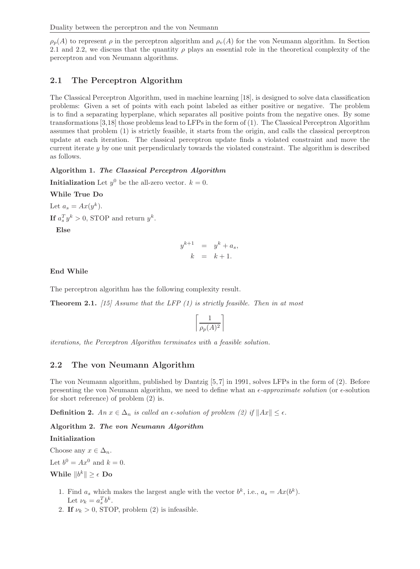$\rho_p(A)$  to represent  $\rho$  in the perceptron algorithm and  $\rho_v(A)$  for the von Neumann algorithm. In Section 2.1 and 2.2, we discuss that the quantity  $\rho$  plays an essential role in the theoretical complexity of the perceptron and von Neumann algorithms.

# 2.1 The Perceptron Algorithm

The Classical Perceptron Algorithm, used in machine learning [18], is designed to solve data classification problems: Given a set of points with each point labeled as either positive or negative. The problem is to find a separating hyperplane, which separates all positive points from the negative ones. By some transformations [3,18] those problems lead to LFPs in the form of (1). The Classical Perceptron Algorithm assumes that problem (1) is strictly feasible, it starts from the origin, and calls the classical perceptron update at each iteration. The classical perceptron update finds a violated constraint and move the current iterate  $y$  by one unit perpendicularly towards the violated constraint. The algorithm is described as follows.

### Algorithm 1. The Classical Perceptron Algorithm

**Initialization** Let  $y^0$  be the all-zero vector.  $k = 0$ .

While True Do

Let  $a_s = Ax(y^k)$ . If  $a_s^T y^k > 0$ , STOP and return  $y^k$ .

Else

$$
y^{k+1} = y^k + a_s,
$$
  

$$
k = k+1.
$$

### End While

The perceptron algorithm has the following complexity result.

Theorem 2.1. *[15] Assume that the LFP (1) is strictly feasible. Then in at most*

$$
\left\lceil \frac{1}{\rho_p(A)^2} \right\rceil
$$

*iterations, the Perceptron Algorithm terminates with a feasible solution.*

## 2.2 The von Neumann Algorithm

The von Neumann algorithm, published by Dantzig [5, 7] in 1991, solves LFPs in the form of (2). Before presenting the von Neumann algorithm, we need to define what an  $\epsilon$ -*approximate solution* (or  $\epsilon$ -solution for short reference) of problem (2) is.

**Definition 2.** *An*  $x \in \Delta_n$  *is called an*  $\epsilon$ *-solution of problem (2) if*  $||Ax|| \leq \epsilon$ *.* 

Algorithm 2. The von Neumann Algorithm

### Initialization

Choose any  $x \in \Delta_n$ .

Let  $b^0 = Ax^0$  and  $k = 0$ .

While  $||b^k|| \geq \epsilon$  Do

- 1. Find  $a_s$  which makes the largest angle with the vector  $b^k$ , i.e.,  $a_s = Ax(b^k)$ . Let  $\nu_k = a_s^T b^k$ .
- 2. If  $\nu_k > 0$ , STOP, problem (2) is infeasible.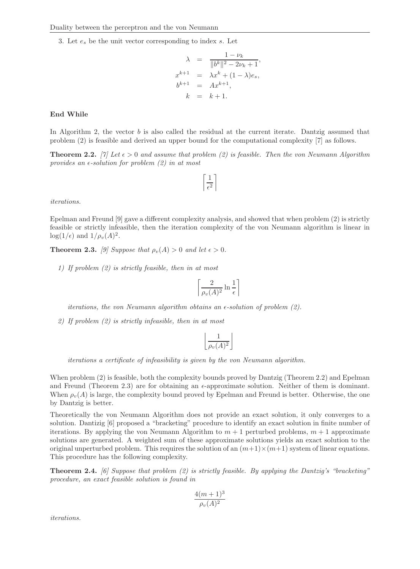3. Let  $e_s$  be the unit vector corresponding to index s. Let

$$
\lambda = \frac{1 - \nu_k}{\|b^k\|^2 - 2\nu_k + 1},
$$
  
\n
$$
x^{k+1} = \lambda x^k + (1 - \lambda)e_s,
$$
  
\n
$$
b^{k+1} = Ax^{k+1},
$$
  
\n
$$
k = k + 1.
$$

#### End While

In Algorithm 2, the vector b is also called the residual at the current iterate. Dantzig assumed that problem (2) is feasible and derived an upper bound for the computational complexity [7] as follows.

**Theorem 2.2.** [7] Let  $\epsilon > 0$  and assume that problem (2) is feasible. Then the von Neumann Algorithm *provides an*  $\epsilon$ -*solution for problem (2) in at most* 

$$
\left\lceil \frac{1}{\epsilon^2} \right\rceil
$$

*iterations.*

Epelman and Freund [9] gave a different complexity analysis, and showed that when problem (2) is strictly feasible or strictly infeasible, then the iteration complexity of the von Neumann algorithm is linear in  $\log(1/\epsilon)$  and  $1/\rho_v(A)^2$ .

**Theorem 2.3.** *[9] Suppose that*  $\rho_n(A) > 0$  *and let*  $\epsilon > 0$ *.* 

*1) If problem (2) is strictly feasible, then in at most*

$$
\left\lceil \frac{2}{\rho_v(A)^2} \ln \frac{1}{\epsilon} \right\rceil
$$

*iterations, the von Neumann algorithm obtains an*  $\epsilon$ *-solution of problem (2).* 

*2) If problem (2) is strictly infeasible, then in at most*

$$
\left\lfloor \frac{1}{\rho_v(A)^2} \right\rfloor
$$

*iterations a certificate of infeasibility is given by the von Neumann algorithm.*

When problem (2) is feasible, both the complexity bounds proved by Dantzig (Theorem 2.2) and Epelman and Freund (Theorem 2.3) are for obtaining an  $\epsilon$ -approximate solution. Neither of them is dominant. When  $\rho_{\nu}(A)$  is large, the complexity bound proved by Epelman and Freund is better. Otherwise, the one by Dantzig is better.

Theoretically the von Neumann Algorithm does not provide an exact solution, it only converges to a solution. Dantizig [6] proposed a "bracketing" procedure to identify an exact solution in finite number of iterations. By applying the von Neumann Algorithm to  $m + 1$  perturbed problems,  $m + 1$  approximate solutions are generated. A weighted sum of these approximate solutions yields an exact solution to the original unperturbed problem. This requires the solution of an  $(m+1)\times(m+1)$  system of linear equations. This procedure has the following complexity.

Theorem 2.4. *[6] Suppose that problem (2) is strictly feasible. By applying the Dantzig's "bracketing" procedure, an exact feasible solution is found in*

$$
\frac{4(m+1)^3}{\rho_v(A)^2}
$$

*iterations.*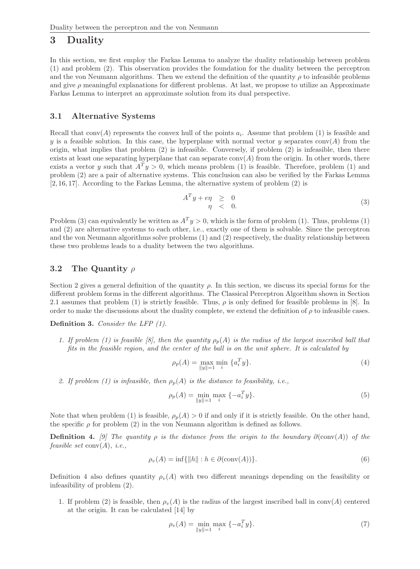# 3 Duality

In this section, we first employ the Farkas Lemma to analyze the duality relationship between problem (1) and problem (2). This observation provides the foundation for the duality between the perceptron and the von Neumann algorithms. Then we extend the definition of the quantity  $\rho$  to infeasible problems and give  $\rho$  meaningful explanations for different problems. At last, we propose to utilize an Approximate Farkas Lemma to interpret an approximate solution from its dual perspective.

### 3.1 Alternative Systems

Recall that  $conv(A)$  represents the convex hull of the points  $a_i$ . Assume that problem (1) is feasible and y is a feasible solution. In this case, the hyperplane with normal vector y separates conv(A) from the origin, what implies that problem (2) is infeasible. Conversely, if problem (2) is infeasible, then there exists at least one separating hyperplane that can separate  $conv(A)$  from the origin. In other words, there exists a vector y such that  $A^T y > 0$ , which means problem (1) is feasible. Therefore, problem (1) and problem (2) are a pair of alternative systems. This conclusion can also be verified by the Farkas Lemma [2, 16, 17]. According to the Farkas Lemma, the alternative system of problem (2) is

$$
A^T y + e \eta \geq 0
$$
  
\n
$$
\eta \leq 0.
$$
\n(3)

Problem (3) can equivalently be written as  $A<sup>T</sup> y > 0$ , which is the form of problem (1). Thus, problems (1) and (2) are alternative systems to each other, i.e., exactly one of them is solvable. Since the perceptron and the von Neumann algorithms solve problems (1) and (2) respectively, the duality relationship between these two problems leads to a duality between the two algorithms.

### 3.2 The Quantity  $\rho$

Section 2 gives a general definition of the quantity  $\rho$ . In this section, we discuss its special forms for the different problem forms in the different algorithms. The Classical Perceptron Algorithm shown in Section 2.1 assumes that problem (1) is strictly feasible. Thus,  $\rho$  is only defined for feasible problems in [8]. In order to make the discussions about the duality complete, we extend the definition of  $\rho$  to infeasible cases.

Definition 3. *Consider the LFP (1).*

*1. If problem (1) is feasible [8], then the quantity*  $\rho_p(A)$  *is the radius of the largest inscribed ball that fits in the feasible region, and the center of the ball is on the unit sphere. It is calculated by*

$$
\rho_p(A) = \max_{\|y\|=1} \min_i \{a_i^T y\}.
$$
\n(4)

2. If problem (1) is infeasible, then  $\rho_p(A)$  is the distance to feasibility, i.e.,

$$
\rho_p(A) = \min_{\|y\|=1} \max_i \{-a_i^T y\}.
$$
\n(5)

Note that when problem (1) is feasible,  $\rho_p(A) > 0$  if and only if it is strictly feasible. On the other hand, the specific  $\rho$  for problem (2) in the von Neumann algorithm is defined as follows.

**Definition 4.** *[9] The quantity*  $\rho$  *is the distance from the origin to the boundary*  $\partial$ (conv(A)) *of the feasible set* conv(A)*, i.e.,*

$$
\rho_v(A) = \inf \{ ||h|| : h \in \partial(\text{conv}(A)) \}.
$$
\n(6)

Definition 4 also defines quantity  $\rho_v(A)$  with two different meanings depending on the feasibility or infeasibility of problem (2).

1. If problem (2) is feasible, then  $\rho_v(A)$  is the radius of the largest inscribed ball in conv(A) centered at the origin. It can be calculated [14] by

$$
\rho_v(A) = \min_{\|y\|=1} \max_i \, \{-a_i^T y\}.
$$
\n(7)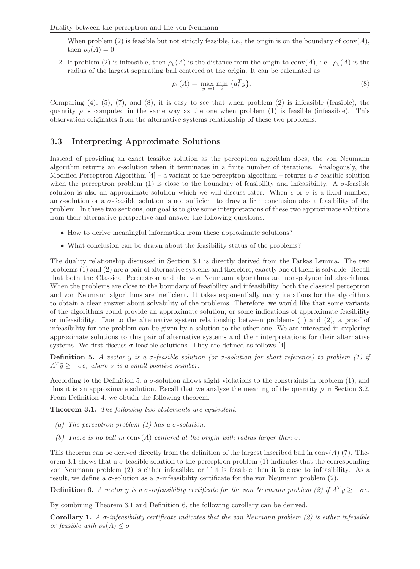When problem  $(2)$  is feasible but not strictly feasible, i.e., the origin is on the boundary of conv $(A)$ , then  $\rho_v(A) = 0$ .

2. If problem (2) is infeasible, then  $\rho_v(A)$  is the distance from the origin to conv(A), i.e.,  $\rho_v(A)$  is the radius of the largest separating ball centered at the origin. It can be calculated as

$$
\rho_v(A) = \max_{\|y\|=1} \min_i \{a_i^T y\}.
$$
\n(8)

Comparing  $(4)$ ,  $(5)$ ,  $(7)$ , and  $(8)$ , it is easy to see that when problem  $(2)$  is infeasible (feasible), the quantity  $\rho$  is computed in the same way as the one when problem (1) is feasible (infeasible). This observation originates from the alternative systems relationship of these two problems.

### 3.3 Interpreting Approximate Solutions

Instead of providing an exact feasible solution as the perceptron algorithm does, the von Neumann algorithm returns an  $\epsilon$ -solution when it terminates in a finite number of iterations. Analogously, the Modified Perceptron Algorithm  $[4]$  – a variant of the perceptron algorithm – returns a  $\sigma$ -feasible solution when the perceptron problem (1) is close to the boundary of feasibility and infeasibility. A  $\sigma$ -feasible solution is also an approximate solution which we will discuss later. When  $\epsilon$  or  $\sigma$  is a fixed number, an  $\epsilon$ -solution or a  $\sigma$ -feasible solution is not sufficient to draw a firm conclusion about feasibility of the problem. In these two sections, our goal is to give some interpretations of these two approximate solutions from their alternative perspective and answer the following questions.

- How to derive meaningful information from these approximate solutions?
- What conclusion can be drawn about the feasibility status of the problems?

The duality relationship discussed in Section 3.1 is directly derived from the Farkas Lemma. The two problems (1) and (2) are a pair of alternative systems and therefore, exactly one of them is solvable. Recall that both the Classical Perceptron and the von Neumann algorithms are non-polynomial algorithms. When the problems are close to the boundary of feasibility and infeasibility, both the classical perceptron and von Neumann algorithms are inefficient. It takes exponentially many iterations for the algorithms to obtain a clear answer about solvability of the problems. Therefore, we would like that some variants of the algorithms could provide an approximate solution, or some indications of approximate feasibility or infeasibility. Due to the alternative system relationship between problems (1) and (2), a proof of infeasibility for one problem can be given by a solution to the other one. We are interested in exploring approximate solutions to this pair of alternative systems and their interpretations for their alternative systems. We first discuss  $\sigma$ -feasible solutions. They are defined as follows [4].

**Definition 5.** *A vector* y *is a*  $\sigma$ -feasible solution (or  $\sigma$ -solution for short reference) to problem (1) if  $A^T \bar{y} \geq -\sigma e$ , where  $\sigma$  *is a small positive number.* 

According to the Definition 5, a  $\sigma$ -solution allows slight violations to the constraints in problem (1); and thus it is an approximate solution. Recall that we analyze the meaning of the quantity  $\rho$  in Section 3.2. From Definition 4, we obtain the following theorem.

Theorem 3.1. *The following two statements are equivalent.*

- *(a) The perceptron problem (1) has a* σ*-solution.*
- *(b)* There is no ball in  $conv(A)$  centered at the origin with radius larger than  $\sigma$ .

This theorem can be derived directly from the definition of the largest inscribed ball in conv( $A$ ) (7). Theorem 3.1 shows that a  $\sigma$ -feasible solution to the perceptron problem (1) indicates that the corresponding von Neumann problem (2) is either infeasible, or if it is feasible then it is close to infeasibility. As a result, we define a  $\sigma$ -solution as a  $\sigma$ -infeasibility certificate for the von Neumann problem (2).

Definition 6. *A vector* y *is a*  $\sigma$ *-infeasibility certificate for the von Neumann problem (2) if*  $A^T \bar{y} \ge -\sigma e$ *.* 

By combining Theorem 3.1 and Definition 6, the following corollary can be derived.

Corollary 1. *A* σ*-infeasibility certificate indicates that the von Neumann problem (2) is either infeasible or feasible with*  $\rho_v(A) \leq \sigma$ .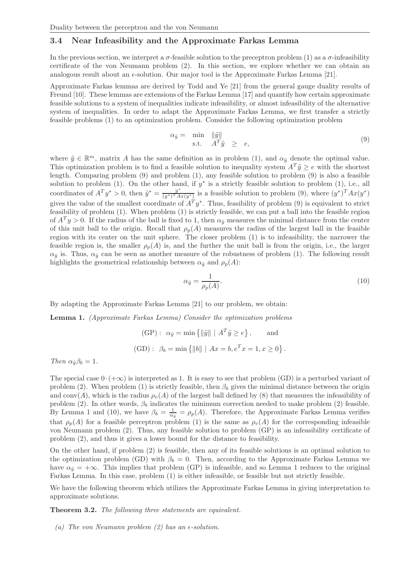#### 3.4 Near Infeasibility and the Approximate Farkas Lemma

In the previous section, we interpret a  $\sigma$ -feasible solution to the preceptron problem (1) as a  $\sigma$ -infeasibility certificate of the von Neumann problem (2). In this section, we explore whether we can obtain an analogous result about an  $\epsilon$ -solution. Our major tool is the Approximate Farkas Lemma [21].

Approximate Farkas lemmas are derived by Todd and Ye [21] from the general gauge duality results of Freund [10]. These lemmas are extensions of the Farkas Lemma [17] and quantify how certain approximate feasible solutions to a system of inequalities indicate infeasibility, or almost infeasibility of the alternative system of inequalities. In order to adapt the Approximate Farkas Lemma, we first transfer a strictly feasible problems (1) to an optimization problem. Consider the following optimization problem

$$
\alpha_{\tilde{y}} = \min_{\mathbf{s}, \mathbf{t}} \|\tilde{y}\| \n\mathbf{s} \cdot \mathbf{t}. \quad A^T \tilde{y} \ge e,
$$
\n(9)

where  $\tilde{y} \in \mathbb{R}^m$ , matrix A has the same definition as in problem (1), and  $\alpha_{\tilde{y}}$  denote the optimal value. This optimization problem is to find a feasible solution to inequality system  $A^T \tilde{y} \ge e$  with the shortest length. Comparing problem (9) and problem (1), any feasible solution to problem (9) is also a feasible solution to problem (1). On the other hand, if  $y^*$  is a strictly feasible solution to problem (1), i.e., all coordinates of  $A^T y^* > 0$ , then  $\tilde{y}^* = \frac{y^*}{(y^*)^T A}$  $\frac{y^*}{(y^*)^T A x(y^*)}$  is a feasible solution to problem (9), where  $(y^*)^T A x(y^*)$ gives the value of the smallest coordinate of  $A<sup>T</sup> y<sup>*</sup>$ . Thus, feasibility of problem (9) is equivalent to strict feasibility of problem (1). When problem (1) is strictly feasible, we can put a ball into the feasible region of  $A<sup>T</sup>y > 0$ . If the radius of the ball is fixed to 1, then  $\alpha_{\tilde{y}}$  measures the minimal distance from the center of this unit ball to the origin. Recall that  $\rho_p(A)$  measures the radius of the largest ball in the feasible region with its center on the unit sphere. The closer problem (1) is to infeasibility, the narrower the feasible region is, the smaller  $\rho_p(A)$  is, and the further the unit ball is from the origin, i.e., the larger  $\alpha_{\tilde{u}}$  is. Thus,  $\alpha_{\tilde{u}}$  can be seen as another measure of the robustness of problem (1). The following result highlights the geometrical relationship between  $\alpha_{\tilde{u}}$  and  $\rho_p(A)$ :

$$
\alpha_{\tilde{y}} = \frac{1}{\rho_p(A)}.\tag{10}
$$

By adapting the Approximate Farkas Lemma [21] to our problem, we obtain:

Lemma 1. *(Approximate Farkas Lemma) Consider the optimization problems*

(GP):  $\alpha_{\tilde{y}} = \min \{ ||\tilde{y}|| \mid A^T \tilde{y} \ge e \}, \quad \text{and}$ (GD):  $\beta_b = \min \{ ||b|| \mid Ax = b, e^T x = 1, x \ge 0 \}.$ 

*Then*  $\alpha_{\tilde{y}}\beta_b = 1$ *.* 

The special case  $0 \cdot (+\infty)$  is interpreted as 1. It is easy to see that problem (GD) is a perturbed variant of problem (2). When problem (1) is strictly feasible, then  $\beta_b$  gives the minimal distance between the origin and conv(A), which is the radius  $\rho_v(A)$  of the largest ball defined by (8) that measures the infeasibility of problem (2). In other words,  $\beta_b$  indicates the minimum correction needed to make problem (2) feasible. By Lemma 1 and (10), we have  $\beta_b = \frac{1}{\alpha_{\tilde{y}}} = \rho_p(A)$ . Therefore, the Approximate Farkas Lemma verifies that  $\rho_p(A)$  for a feasible perceptron problem (1) is the same as  $\rho_v(A)$  for the corresponding infeasible von Neumann problem (2). Thus, any feasible solution to problem (GP) is an infeasibility certificate of problem (2), and thus it gives a lower bound for the distance to feasibility.

On the other hand, if problem (2) is feasible, then any of its feasible solutions is an optimal solution to the optimization problem (GD) with  $\beta_b = 0$ . Then, according to the Approximate Farkas Lemma we have  $\alpha_{\tilde{u}} = +\infty$ . This implies that problem (GP) is infeasible, and so Lemma 1 reduces to the original Farkas Lemma. In this case, problem (1) is either infeasible, or feasible but not strictly feasible.

We have the following theorem which utilizes the Approximate Farkas Lemma in giving interpretation to approximate solutions.

Theorem 3.2. *The following three statements are equivalent.*

*(a)* The von Neumann problem  $(2)$  has an  $\epsilon$ -solution.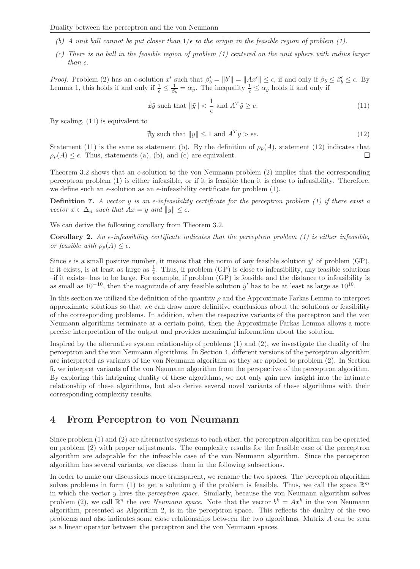- *(b)* A unit ball cannot be put closer than  $1/\epsilon$  to the origin in the feasible region of problem (1).
- *(c) There is no ball in the feasible region of problem (1) centered on the unit sphere with radius larger than*  $\epsilon$ *.*

*Proof.* Problem (2) has an  $\epsilon$ -solution x' such that  $\beta'_b = ||b'|| = ||Ax'|| \leq \epsilon$ , if and only if  $\beta_b \leq \beta'_b \leq \epsilon$ . By Lemma 1, this holds if and only if  $\frac{1}{\epsilon} \leq \frac{1}{\beta_b} = \alpha_{\tilde{y}}$ . The inequality  $\frac{1}{\epsilon} \leq \alpha_{\tilde{y}}$  holds if and only if

$$
\nexists \tilde{y} \text{ such that } \|\tilde{y}\| < \frac{1}{\epsilon} \text{ and } A^T \tilde{y} \ge e. \tag{11}
$$

By scaling, (11) is equivalent to

$$
\nexists y \text{ such that } ||y|| \le 1 \text{ and } A^T y > \epsilon e. \tag{12}
$$

Statement (11) is the same as statement (b). By the definition of  $\rho_p(A)$ , statement (12) indicates that  $\rho_p(A) \leq \epsilon$ . Thus, statements (a), (b), and (c) are equivalent. П

Theorem 3.2 shows that an  $\epsilon$ -solution to the von Neumann problem (2) implies that the corresponding perceptron problem (1) is either infeasible, or if it is feasible then it is close to infeasibility. Therefore, we define such an  $\epsilon$ -solution as an  $\epsilon$ -infeasibility certificate for problem (1).

**Definition 7.** A vector y is an  $\epsilon$ -infeasibility certificate for the perceptron problem (1) if there exist a *vector*  $x \in \Delta_n$  *such that*  $Ax = y$  *and*  $||y|| \leq \epsilon$ *.* 

We can derive the following corollary from Theorem 3.2.

**Corollary 2.** An  $\epsilon$ -infeasibility certificate indicates that the perceptron problem (1) is either infeasible, *or feasible with*  $\rho_p(A) \leq \epsilon$ *.* 

Since  $\epsilon$  is a small positive number, it means that the norm of any feasible solution  $\tilde{y}'$  of problem (GP), if it exists, is at least as large as  $\frac{1}{\epsilon}$ . Thus, if problem (GP) is close to infeasibility, any feasible solutions –if it exists– has to be large. For example, if problem (GP) is feasible and the distance to infeasibility is as small as  $10^{-10}$ , then the magnitude of any feasible solution  $\tilde{y}'$  has to be at least as large as  $10^{10}$ .

In this section we utilized the definition of the quantity  $\rho$  and the Approximate Farkas Lemma to interpret approximate solutions so that we can draw more definitive conclusions about the solutions or feasibility of the corresponding problems. In addition, when the respective variants of the perceptron and the von Neumann algorithms terminate at a certain point, then the Approximate Farkas Lemma allows a more precise interpretation of the output and provides meaningful information about the solution.

Inspired by the alternative system relationship of problems (1) and (2), we investigate the duality of the perceptron and the von Neumann algorithms. In Section 4, different versions of the perceptron algorithm are interpreted as variants of the von Neumann algorithm as they are applied to problem (2). In Section 5, we interpret variants of the von Neumann algorithm from the perspective of the perceptron algorithm. By exploring this intriguing duality of these algorithms, we not only gain new insight into the intimate relationship of these algorithms, but also derive several novel variants of these algorithms with their corresponding complexity results.

# 4 From Perceptron to von Neumann

Since problem (1) and (2) are alternative systems to each other, the perceptron algorithm can be operated on problem (2) with proper adjustments. The complexity results for the feasible case of the perceptron algorithm are adaptable for the infeasible case of the von Neumann algorithm. Since the perceptron algorithm has several variants, we discuss them in the following subsections.

In order to make our discussions more transparent, we rename the two spaces. The perceptron algorithm solves problems in form (1) to get a solution y if the problem is feasible. Thus, we call the space  $\mathbb{R}^m$ in which the vector y lives the *perceptron space*. Similarly, because the von Neumann algorithm solves problem (2), we call  $\mathbb{R}^n$  the *von Neumann space*. Note that the vector  $b^k = Ax^k$  in the von Neumann algorithm, presented as Algorithm 2, is in the perceptron space. This reflects the duality of the two problems and also indicates some close relationships between the two algorithms. Matrix A can be seen as a linear operator between the perceptron and the von Neumann spaces.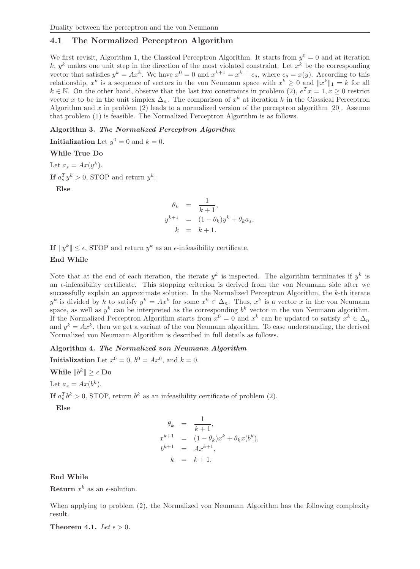## 4.1 The Normalized Perceptron Algorithm

We first revisit, Algorithm 1, the Classical Perceptron Algorithm. It starts from  $y^0 = 0$  and at iteration k,  $y^k$  makes one unit step in the direction of the most violated constraint. Let  $x^k$  be the corresponding vector that satisfies  $y^k = Ax^k$ . We have  $x^0 = 0$  and  $x^{k+1} = x^k + e_s$ , where  $e_s = x(y)$ . According to this relationship,  $x^k$  is a sequence of vectors in the von Neumann space with  $x^k \geq 0$  and  $||x^k||_1 = k$  for all  $k \in \mathbb{N}$ . On the other hand, observe that the last two constraints in problem (2),  $e^T x = 1, x \ge 0$  restrict vector x to be in the unit simplex  $\Delta_n$ . The comparison of  $x^k$  at iteration k in the Classical Perceptron Algorithm and x in problem (2) leads to a normalized version of the perceptron algorithm [20]. Assume that problem (1) is feasible. The Normalized Perceptron Algorithm is as follows.

### Algorithm 3. The Normalized Perceptron Algorithm

**Initialization** Let  $y^0 = 0$  and  $k = 0$ .

#### While True Do

Let  $a_s = Ax(y^k)$ . If  $a_s^T y^k > 0$ , STOP and return  $y^k$ .

Else

$$
\theta_k = \frac{1}{k+1},
$$
  

$$
y^{k+1} = (1 - \theta_k)y^k + \theta_k a_s,
$$
  

$$
k = k+1.
$$

If  $||y^k|| \leq \epsilon$ , STOP and return  $y^k$  as an  $\epsilon$ -infeasibility certificate.

#### End While

Note that at the end of each iteration, the iterate  $y^k$  is inspected. The algorithm terminates if  $y^k$  is an  $\epsilon$ -infeasibility certificate. This stopping criterion is derived from the von Neumann side after we successfully explain an approximate solution. In the Normalized Perceptron Algorithm, the k-th iterate  $y^k$  is divided by k to satisfy  $y^k = Ax^k$  for some  $x^k \in \Delta_n$ . Thus,  $x^k$  is a vector x in the von Neumann space, as well as  $y^k$  can be interpreted as the corresponding  $b^k$  vector in the von Neumann algorithm. If the Normalized Perceptron Algorithm starts from  $x^0 = 0$  and  $x^k$  can be updated to satisfy  $x^k \in \Delta_n$ and  $y^k = Ax^k$ , then we get a variant of the von Neumann algorithm. To ease understanding, the derived Normalized von Neumann Algorithm is described in full details as follows.

#### Algorithm 4. The Normalized von Neumann Algorithm

**Initialization** Let  $x^0 = 0$ ,  $b^0 = Ax^0$ , and  $k = 0$ .

While  $||b^k|| \geq \epsilon$  Do

Let  $a_s = Ax(b^k)$ .

If  $a_s^T b^k > 0$ , STOP, return  $b^k$  as an infeasibility certificate of problem (2).

Else

$$
\begin{array}{rcl}\n\theta_k & = & \frac{1}{k+1}, \\
x^{k+1} & = & (1 - \theta_k)x^k + \theta_k x(b^k), \\
b^{k+1} & = & Ax^{k+1}, \\
k & = & k+1.\n\end{array}
$$

End While

**Return**  $x^k$  as an  $\epsilon$ -solution.

When applying to problem (2), the Normalized von Neumann Algorithm has the following complexity result.

**Theorem 4.1.** *Let*  $\epsilon > 0$ *.*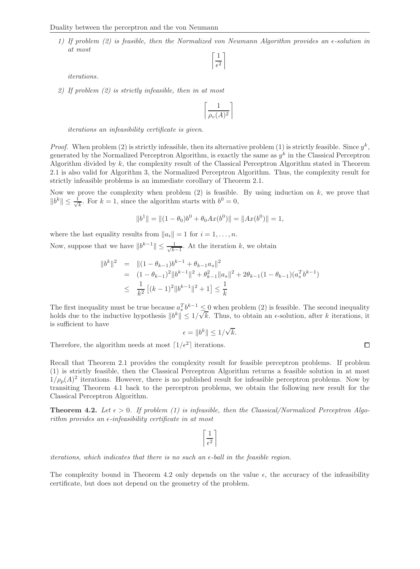*1) If problem (2) is feasible, then the Normalized von Neumann Algorithm provides an*  $\epsilon$ *-solution in at most*

$$
\left\lceil \frac{1}{\epsilon^2} \right\rceil
$$

*iterations.*

*2) If problem (2) is strictly infeasible, then in at most*

$$
\left\lceil \frac{1}{\rho_v(A)^2} \right\rceil
$$

*iterations an infeasibility certificate is given.*

*Proof.* When problem (2) is strictly infeasible, then its alternative problem (1) is strictly feasible. Since  $y^k$ , generated by the Normalized Perceptron Algorithm, is exactly the same as  $y^k$  in the Classical Perceptron Algorithm divided by k, the complexity result of the Classical Perceptron Algorithm stated in Theorem 2.1 is also valid for Algorithm 3, the Normalized Perceptron Algorithm. Thus, the complexity result for strictly infeasible problems is an immediate corollary of Theorem 2.1.

Now we prove the complexity when problem  $(2)$  is feasible. By using induction on k, we prove that  $||b^k|| \leq \frac{1}{\sqrt{k}}$  $\frac{1}{k}$ . For  $k = 1$ , since the algorithm starts with  $b^0 = 0$ ,

$$
||b1|| = ||(1 - \theta0)b0 + \theta0Ax(b0)|| = ||Ax(b0)|| = 1,
$$

where the last equality results from  $||a_i|| = 1$  for  $i = 1, ..., n$ .

Now, suppose that we have  $||b^{k-1}|| \leq \frac{1}{\sqrt{k}}$  $\frac{1}{k-1}$ . At the iteration k, we obtain

$$
\|b^k\|^2 = \| (1 - \theta_{k-1})b^{k-1} + \theta_{k-1}a_s \|^2
$$
  
= 
$$
(1 - \theta_{k-1})^2 \|b^{k-1}\|^2 + \theta_{k-1}^2 \|a_s\|^2 + 2\theta_{k-1} (1 - \theta_{k-1}) (a_s^T b^{k-1})
$$
  

$$
\leq \frac{1}{k^2} [(k-1)^2 \|b^{k-1}\|^2 + 1] \leq \frac{1}{k}
$$

The first inequality must be true because  $a_s^T b^{k-1} \leq 0$  when problem (2) is feasible. The second inequality holds due to the inductive hypothesis  $||b^k|| \leq 1/\sqrt{k}$ . Thus, to obtain an  $\epsilon$ -solution, after k iterations, it is sufficient to have

$$
\epsilon = \|b^k\| \le 1/\sqrt{k}.
$$

Therefore, the algorithm needs at most  $\lceil 1/\epsilon^2 \rceil$  iterations.

Recall that Theorem 2.1 provides the complexity result for feasible perceptron problems. If problem (1) is strictly feasible, then the Classical Perceptron Algorithm returns a feasible solution in at most  $1/\rho_p(A)^2$  iterations. However, there is no published result for infeasible perceptron problems. Now by transiting Theorem 4.1 back to the perceptron problems, we obtain the following new result for the Classical Perceptron Algorithm.

**Theorem 4.2.** Let  $\epsilon > 0$ . If problem (1) is infeasible, then the Classical/Normalized Perceptron Algo*rithm provides an*  $\epsilon$ -*infeasibility certificate in at most* 

*iterations, which indicates that there is no such an*  $\epsilon$ *-ball in the feasible region.* 

The complexity bound in Theorem 4.2 only depends on the value  $\epsilon$ , the accuracy of the infeasibility certificate, but does not depend on the geometry of the problem.

 $\Box$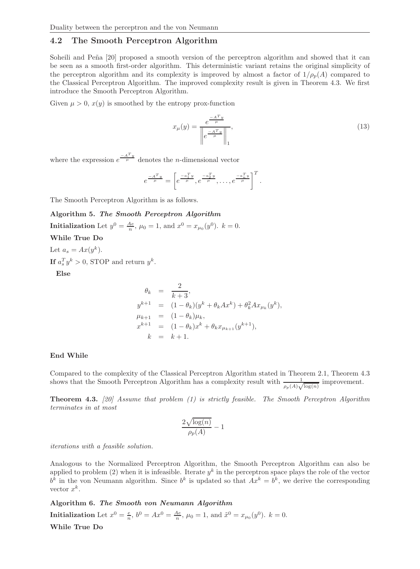### 4.2 The Smooth Perceptron Algorithm

Soheili and Peña [20] proposed a smooth version of the perceptron algorithm and showed that it can be seen as a smooth first-order algorithm. This deterministic variant retains the original simplicity of the perceptron algorithm and its complexity is improved by almost a factor of  $1/\rho_p(A)$  compared to the Classical Perceptron Algorithm. The improved complexity result is given in Theorem 4.3. We first introduce the Smooth Perceptron Algorithm.

Given  $\mu > 0$ ,  $x(y)$  is smoothed by the entropy prox-function

$$
x_{\mu}(y) = \frac{e^{\frac{-A^{T}y}{\mu}}}{\left\| e^{\frac{-A^{T}y}{\mu}} \right\|_{1}},
$$
\n(13)

where the expression  $e^{\frac{-A^{T} y}{\mu}}$  denotes the *n*-dimensional vector

$$
e^{\frac{-A^T y}{\mu}} = \left[e^{\frac{-a_1^T y}{\mu}}, e^{\frac{-a_2^T y}{\mu}}, \dots, e^{\frac{-a_n^T y}{\mu}}\right]^T.
$$

The Smooth Perceptron Algorithm is as follows.

#### Algorithm 5. The Smooth Perceptron Algorithm

**Initialization** Let  $y^0 = \frac{Ae}{n}$ ,  $\mu_0 = 1$ , and  $x^0 = x_{\mu_0}(y^0)$ .  $k = 0$ .

While True Do

Let  $a_s = Ax(y^k)$ . If  $a_s^T y^k > 0$ , STOP and return  $y^k$ .

Else

$$
\theta_k = \frac{2}{k+3},
$$
  
\n
$$
y^{k+1} = (1 - \theta_k)(y^k + \theta_k A x^k) + \theta_k^2 A x_{\mu_k}(y^k),
$$
  
\n
$$
\mu_{k+1} = (1 - \theta_k)\mu_k,
$$
  
\n
$$
x^{k+1} = (1 - \theta_k)x^k + \theta_k x_{\mu_{k+1}}(y^{k+1}),
$$
  
\n
$$
k = k+1.
$$

#### End While

Compared to the complexity of the Classical Perceptron Algorithm stated in Theorem 2.1, Theorem 4.3 shows that the Smooth Perceptron Algorithm has a complexity result with  $\frac{1}{\rho_p(A)\sqrt{\log(n)}}$  improvement.

Theorem 4.3. *[20] Assume that problem (1) is strictly feasible. The Smooth Perceptron Algorithm terminates in at most*

$$
\frac{2\sqrt{\log(n)}}{\rho_p(A)} - 1
$$

*iterations with a feasible solution.*

Analogous to the Normalized Perceptron Algorithm, the Smooth Perceptron Algorithm can also be applied to problem (2) when it is infeasible. Iterate  $y^k$  in the perceptron space plays the role of the vector  $b^k$  in the von Neumann algorithm. Since  $b^k$  is updated so that  $Ax^k = b^k$ , we derive the corresponding vector  $x^k$ .

Algorithm 6. The Smooth von Neumann Algorithm

**Initialization** Let  $x^0 = \frac{e}{n}$ ,  $b^0 = Ax^0 = \frac{Ae}{n}$ ,  $\mu_0 = 1$ , and  $\tilde{x}^0 = x_{\mu_0}(y^0)$ .  $k = 0$ .

While True Do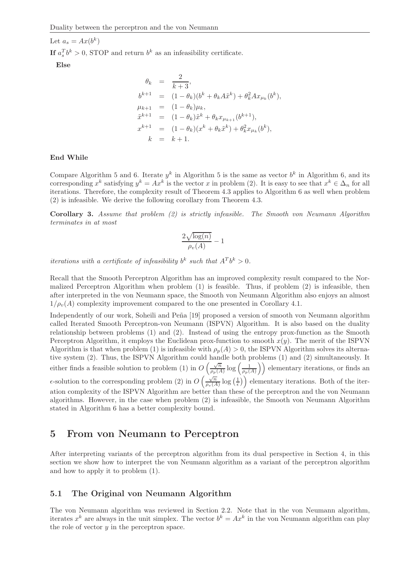Let  $a_s = Ax(b^k)$ 

If  $a_s^T b^k > 0$ , STOP and return  $b^k$  as an infeasibility certificate.

Else

$$
\theta_k = \frac{2}{k+3},
$$
  
\n
$$
b^{k+1} = (1 - \theta_k)(b^k + \theta_k A \tilde{x}^k) + \theta_k^2 A x_{\mu_k}(b^k),
$$
  
\n
$$
\mu_{k+1} = (1 - \theta_k)\mu_k,
$$
  
\n
$$
\tilde{x}^{k+1} = (1 - \theta_k)\tilde{x}^k + \theta_k x_{\mu_{k+1}}(b^{k+1}),
$$
  
\n
$$
x^{k+1} = (1 - \theta_k)(x^k + \theta_k \tilde{x}^k) + \theta_k^2 x_{\mu_k}(b^k),
$$
  
\n
$$
k = k+1.
$$

#### End While

Compare Algorithm 5 and 6. Iterate  $y^k$  in Algorithm 5 is the same as vector  $b^k$  in Algorithm 6, and its corresponding  $x^k$  satisfying  $y^k = Ax^k$  is the vector x in problem (2). It is easy to see that  $x^k \in \Delta_n$  for all iterations. Therefore, the complexity result of Theorem 4.3 applies to Algorithm 6 as well when problem (2) is infeasible. We derive the following corollary from Theorem 4.3.

Corollary 3. *Assume that problem (2) is strictly infeasible. The Smooth von Neumann Algorithm terminates in at most*

$$
\frac{2\sqrt{\log(n)}}{\rho_v(A)} - 1
$$

*iterations with a certificate of infeasibility*  $b^k$  such that  $A^T b^k > 0$ .

Recall that the Smooth Perceptron Algorithm has an improved complexity result compared to the Normalized Perceptron Algorithm when problem (1) is feasible. Thus, if problem (2) is infeasible, then after interpreted in the von Neumann space, the Smooth von Neumann Algorithm also enjoys an almost  $1/\rho_v(A)$  complexity improvement compared to the one presented in Corollary 4.1.

Independently of our work, Soheili and Peña [19] proposed a version of smooth von Neumann algorithm called Iterated Smooth Perceptron-von Neumann (ISPVN) Algorithm. It is also based on the duality relationship between problems (1) and (2). Instead of using the entropy prox-function as the Smooth Perceptron Algorithm, it employs the Euclidean prox-function to smooth  $x(y)$ . The merit of the ISPVN Algorithm is that when problem (1) is infeasible with  $\rho_p(A) > 0$ , the ISPVN Algorithm solves its alternative system (2). Thus, the ISPVN Algorithm could handle both problems (1) and (2) simultaneously. It either finds a feasible solution to problem (1) in  $O\left(\frac{\sqrt{n}}{n}\right)$  $\frac{\sqrt{n}}{\rho_p(A)} \log \left( \frac{1}{\rho_p(A)} \right)$  elementary iterations, or finds an  $\epsilon$ -solution to the corresponding problem (2) in  $O\left(\frac{\sqrt{n}}{n}\right)$  $\sqrt{\frac{n}{\rho_v(A)}} \log\left(\frac{1}{\epsilon}\right)$  elementary iterations. Both of the iteration complexity of the ISPVN Algorithm are better than these of the perceptron and the von Neumann algorithms. However, in the case when problem (2) is infeasible, the Smooth von Neumann Algorithm stated in Algorithm 6 has a better complexity bound.

# 5 From von Neumann to Perceptron

After interpreting variants of the perceptron algorithm from its dual perspective in Section 4, in this section we show how to interpret the von Neumann algorithm as a variant of the perceptron algorithm and how to apply it to problem (1).

### 5.1 The Original von Neumann Algorithm

The von Neumann algorithm was reviewed in Section 2.2. Note that in the von Neumann algorithm, iterates  $x^k$  are always in the unit simplex. The vector  $b^k = Ax^k$  in the von Neumann algorithm can play the role of vector  $y$  in the perceptron space.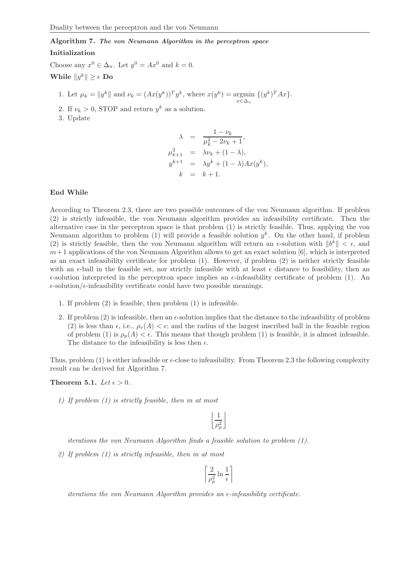# Algorithm 7. The von Neumann Algorithm in the perceptron space

### Initialization

Choose any  $x^0 \in \Delta_n$ . Let  $y^0 = Ax^0$  and  $k = 0$ . While  $||y^k|| \geq \epsilon$  Do

1. Let  $\mu_k = ||y^k||$  and  $\nu_k = (Ax(y^k))^T y^k$ , where  $x(y^k) = \operatorname*{argmin}_{y \in A}$ xgmin  $\{(y^k)^T Ax\}.$ 

- 2. If  $\nu_k > 0$ , STOP and return  $y^k$  as a solution.
- 3. Update

$$
\lambda = \frac{1 - \nu_k}{\mu_k^2 - 2\nu_k + 1},
$$
  
\n
$$
\mu_{k+1}^2 = \lambda \nu_k + (1 - \lambda),
$$
  
\n
$$
y^{k+1} = \lambda y^k + (1 - \lambda) A x (y^k),
$$
  
\n
$$
k = k + 1.
$$

#### End While

According to Theorem 2.3, there are two possible outcomes of the von Neumann algorithm. If problem (2) is strictly infeasible, the von Neumann algorithm provides an infeasibility certificate. Then the alternative case in the perceptron space is that problem (1) is strictly feasible. Thus, applying the von Neumann algorithm to problem (1) will provide a feasible solution  $y^k$ . On the other hand, if problem (2) is strictly feasible, then the von Neumann algorithm will return an  $\epsilon$ -solution with  $||b^k|| < \epsilon$ , and  $m+1$  applications of the von Neumann Algorithm allows to get an exact solution [6], which is interpreted as an exact infeasibility certificate for problem (1). However, if problem (2) is neither strictly feasible with an  $\epsilon$ -ball in the feasible set, nor strictly infeasible with at least  $\epsilon$  distance to feasibility, then an  $\epsilon$ -solution interpreted in the perceptron space implies an  $\epsilon$ -infeasibility certificate of problem (1). An  $\epsilon$ -solution/ $\epsilon$ -infeasibility certificate could have two possible meanings.

- 1. If problem (2) is feasible, then problem (1) is infeasible.
- 2. If problem  $(2)$  is infeasible, then an  $\epsilon$ -solution implies that the distance to the infeasibility of problem (2) is less than  $\epsilon$ , i.e.,  $\rho_v(A) < \epsilon$ ; and the radius of the largest inscribed ball in the feasible region of problem (1) is  $\rho_p(A) < \epsilon$ . This means that though problem (1) is feasible, it is almost infeasible. The distance to the infeasibility is less then  $\epsilon$ .

Thus, problem  $(1)$  is either infeasible or  $\epsilon$ -close to infeasibility. From Theorem 2.3 the following complexity result can be derived for Algorithm 7.

Theorem 5.1. Let  $\epsilon > 0$ .

*1) If problem (1) is strictly feasible, then in at most*

 $\vert$  1  $\rho_p^2$  $\overline{\phantom{a}}$ 

*iterations the von Neumann Algorithm finds a feasible solution to problem (1).*

*2) If problem (1) is strictly infeasible, then in at most*

*iterations the von Neumann Algorithm provides an*  $\epsilon$ -infeasibility certificate.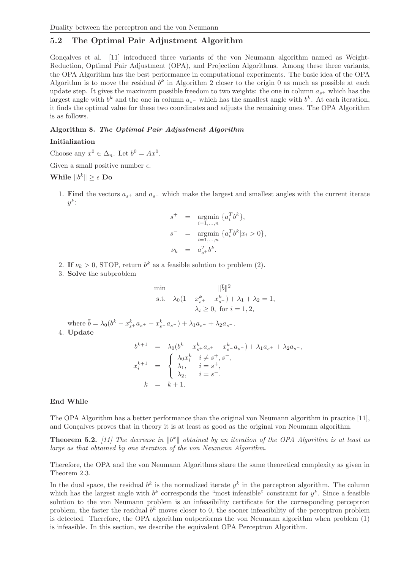## 5.2 The Optimal Pair Adjustment Algorithm

Goncalves et al. [11] introduced three variants of the von Neumann algorithm named as Weight-Reduction, Optimal Pair Adjustment (OPA), and Projection Algorithms. Among these three variants, the OPA Algorithm has the best performance in computational experiments. The basic idea of the OPA Algorithm is to move the residual  $b^k$  in Algorithm 2 closer to the origin 0 as much as possible at each update step. It gives the maximum possible freedom to two weights: the one in column  $a_{s+}$  which has the largest angle with  $b^k$  and the one in column  $a_s$ - which has the smallest angle with  $b^k$ . At each iteration, it finds the optimal value for these two coordinates and adjusts the remaining ones. The OPA Algorithm is as follows.

#### Algorithm 8. The Optimal Pair Adjustment Algorithm

#### Initialization

Choose any  $x^0 \in \Delta_n$ . Let  $b^0 = Ax^0$ .

Given a small positive number  $\epsilon$ .

# While  $||b^k|| \geq \epsilon$  Do

1. Find the vectors  $a_{s+}$  and  $a_{s-}$  which make the largest and smallest angles with the current iterate  $y^k$ :

$$
s^{+} = \underset{i=1,...,n}{\text{argmin}} \{a_{i}^{T}b^{k}\},
$$
  
\n
$$
s^{-} = \underset{i=1,...,n}{\text{argmin}} \{a_{i}^{T}b^{k}|x_{i} > 0\},
$$
  
\n
$$
\nu_{k} = a_{s}^{T}b^{k}.
$$

- 2. If  $\nu_k > 0$ , STOP, return  $b^k$  as a feasible solution to problem (2).
- 3. Solve the subproblem

min  
\n
$$
\|\bar{b}\|^2
$$
\ns.t.  $\lambda_0(1 - x_{s^+}^k - x_{s^-}^k) + \lambda_1 + \lambda_2 = 1,$   
\n $\lambda_i \ge 0$ , for  $i = 1, 2$ ,

where  $\bar{b} = \lambda_0 (b^k - x_{s+}^k a_{s+} - x_{s-}^k a_{s-}) + \lambda_1 a_{s+} + \lambda_2 a_{s-}$ . 4. Update

$$
b^{k+1} = \lambda_0 (b^k - x_{s+}^k a_{s+} - x_{s-}^k a_{s-}) + \lambda_1 a_{s+} + \lambda_2 a_{s-},
$$
  
\n
$$
x_i^{k+1} = \begin{cases} \lambda_0 x_i^k & i \neq s^+, s^-, \\ \lambda_1, & i = s^+, \\ \lambda_2, & i = s^-. \end{cases}
$$
  
\n
$$
k = k+1.
$$

#### End While

The OPA Algorithm has a better performance than the original von Neumann algorithm in practice [11], and Goncalves proves that in theory it is at least as good as the original von Neumann algorithm.

**Theorem 5.2.** [11] The decrease in  $||b^k||$  obtained by an iteration of the OPA Algorithm is at least as *large as that obtained by one iteration of the von Neumann Algorithm.*

Therefore, the OPA and the von Neumann Algorithms share the same theoretical complexity as given in Theorem 2.3.

In the dual space, the residual  $b^k$  is the normalized iterate  $y^k$  in the perceptron algorithm. The column which has the largest angle with  $b^k$  corresponds the "most infeasible" constraint for  $y^k$ . Since a feasible solution to the von Neumann problem is an infeasibility certificate for the corresponding perceptron problem, the faster the residual  $b^k$  moves closer to 0, the sooner infeasibility of the perceptron problem is detected. Therefore, the OPA algorithm outperforms the von Neumann algorithm when problem (1) is infeasible. In this section, we describe the equivalent OPA Perceptron Algorithm.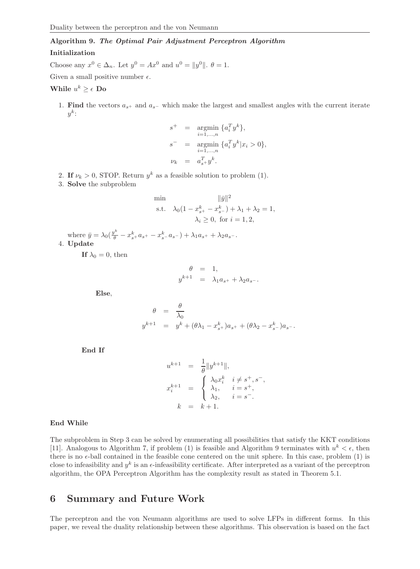# Algorithm 9. The Optimal Pair Adjustment Perceptron Algorithm

### Initialization

Choose any  $x^0 \in \Delta_n$ . Let  $y^0 = Ax^0$  and  $u^0 = ||y^0||$ .  $\theta = 1$ .

Given a small positive number  $\epsilon$ .

# While  $u^k \geq \epsilon$  Do

1. Find the vectors  $a_{s+}$  and  $a_{s-}$  which make the largest and smallest angles with the current iterate  $y^k$ :

$$
s^{+} = \underset{i=1,...,n}{\text{argmin}} \{a_{i}^{T} y^{k}\},
$$
  
\n
$$
s^{-} = \underset{i=1,...,n}{\text{argmin}} \{a_{i}^{T} y^{k} | x_{i} > 0\},
$$
  
\n
$$
\nu_{k} = a_{s}^{T} y^{k}.
$$

- 2. If  $\nu_k > 0$ , STOP. Return  $y^k$  as a feasible solution to problem (1).
- 3. Solve the subproblem

min  
\n
$$
\|\bar{y}\|^2
$$
\ns.t.  $\lambda_0(1 - x_{s^+}^k - x_{s^-}^k) + \lambda_1 + \lambda_2 = 1,$   
\n $\lambda_i \ge 0$ , for  $i = 1, 2$ ,

where  $\bar{y} = \lambda_0 \left( \frac{y^k}{\theta} - x_{s+}^k a_{s+} - x_{s-}^k a_{s-} \right) + \lambda_1 a_{s+} + \lambda_2 a_{s-}$ . 4. Update

If  $\lambda_0 = 0$ , then

$$
\begin{array}{rcl} \theta&=&1,\\ y^{k+1}&=&\lambda_1a_{s^+}+\lambda_2a_{s^-}. \end{array}
$$

Else,

$$
\theta = \frac{\theta}{\lambda_0}
$$
  

$$
y^{k+1} = y^k + (\theta \lambda_1 - x_{s+1}^k) a_{s+1} + (\theta \lambda_2 - x_{s-1}^k) a_{s-1}.
$$

End If

$$
u^{k+1} = \frac{1}{\theta} ||y^{k+1}||,
$$
  
\n
$$
x_i^{k+1} = \begin{cases} \lambda_0 x_i^k & i \neq s^+, s^-, \\ \lambda_1, & i = s^+, \\ \lambda_2, & i = s^-. \end{cases}
$$
  
\n
$$
k = k+1.
$$

#### End While

The subproblem in Step 3 can be solved by enumerating all possibilities that satisfy the KKT conditions [11]. Analogous to Algorithm 7, if problem (1) is feasible and Algorithm 9 terminates with  $u^k < \epsilon$ , then there is no  $\epsilon$ -ball contained in the feasible cone centered on the unit sphere. In this case, problem  $(1)$  is close to infeasibility and  $y^k$  is an  $\epsilon$ -infeasibility certificate. After interpreted as a variant of the perceptron algorithm, the OPA Perceptron Algorithm has the complexity result as stated in Theorem 5.1.

# 6 Summary and Future Work

The perceptron and the von Neumann algorithms are used to solve LFPs in different forms. In this paper, we reveal the duality relationship between these algorithms. This observation is based on the fact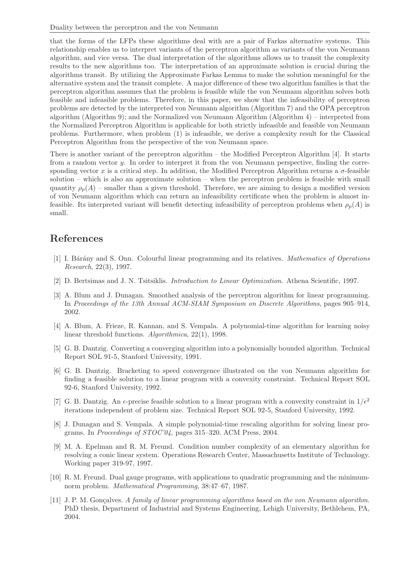that the forms of the LFPs these algorithms deal with are a pair of Farkas alternative systems. This relationship enables us to interpret variants of the perceptron algorithm as variants of the von Neumann algorithm, and vice versa. The dual interpretation of the algorithms allows us to transit the complexity results to the new algorithms too. The interpretation of an approximate solution is crucial during the algorithms transit. By utilizing the Approximate Farkas Lemma to make the solution meaningful for the alternative system and the transit complete. A major difference of these two algorithm families is that the perceptron algorithm assumes that the problem is feasible while the von Neumann algorithm solves both feasible and infeasible problems. Therefore, in this paper, we show that the infeasibility of perceptron problems are detected by the interpreted von Neumann algorithm (Algorithm 7) and the OPA perceptron algorithm (Algorithm 9); and the Normalized von Neumann Algorithm (Algorithm 4) – interpreted from the Normalized Perceptron Algorithm is applicable for both strictly infeasible and feasible von Neumann problems. Furthermore, when problem (1) is infeasible, we derive a complexity result for the Classical Perceptron Algorithm from the perspective of the von Neumann space.

There is another variant of the perceptron algorithm – the Modified Perceptron Algorithm [4]. It starts from a random vector y. In order to interpret it from the von Neumann perspective, finding the corresponding vector x is a critical step. In addition, the Modified Perceptron Algorithm returns a  $\sigma$ -feasible solution – which is also an approximate solution – when the perceptron problem is feasible with small quantity  $\rho_p(A)$  – smaller than a given threshold. Therefore, we are aiming to design a modified version of von Neumann algorithm which can return an infeasibility certificate when the problem is almost infeasible. Its interpreted variant will benefit detecting infeasibility of perceptron problems when  $\rho_p(A)$  is small.

# References

- [1] I. B´ar´any and S. Onn. Colourful linear programming and its relatives. *Mathematics of Operations Research*, 22(3), 1997.
- [2] D. Bertsimas and J. N. Tsitsiklis. *Introduction to Linear Optimization*. Athena Scientific, 1997.
- [3] A. Blum and J. Dunagan. Smoothed analysis of the perceptron algorithm for linear programming. In *Proceedings of the 13th Annual ACM-SIAM Symposium on Discrete Algorithms*, pages 905–914, 2002.
- [4] A. Blum, A. Frieze, R. Kannan, and S. Vempala. A polynomial-time algorithm for learning noisy linear threshold functions. *Algorithmica*, 22(1), 1998.
- [5] G. B. Dantzig. Converting a converging algorithm into a polynomially bounded algorithm. Technical Report SOL 91-5, Stanford University, 1991.
- [6] G. B. Dantzig. Bracketing to speed convergence illustrated on the von Neumann algorithm for finding a feasible solution to a linear program with a convexity constraint. Technical Report SOL 92-6, Stanford University, 1992.
- [7] G. B. Dantzig. An  $\epsilon$ -precise feasible solution to a linear program with a convexity constraint in  $1/\epsilon^2$ iterations independent of problem size. Technical Report SOL 92-5, Stanford University, 1992.
- [8] J. Dunagan and S. Vempala. A simple polynomial-time rescaling algorithm for solving linear programs. In *Proceedings of STOC'04*, pages 315–320. ACM Press, 2004.
- [9] M. A. Epelman and R. M. Freund. Condition number complexity of an elementary algorithm for resolving a conic linear system. Operations Research Center, Massachusetts Institute of Technology. Working paper 319-97, 1997.
- [10] R. M. Freund. Dual gauge programs, with applications to quadratic programming and the minimumnorm problem. *Mathematical Programming*, 38:47–67, 1987.
- [11] J. P. M. Gon¸calves. *A family of linear programming algorithms based on the von Neumann algorithm*. PhD thesis, Department of Industrial and Systems Engineering, Lehigh University, Bethlehem, PA, 2004.